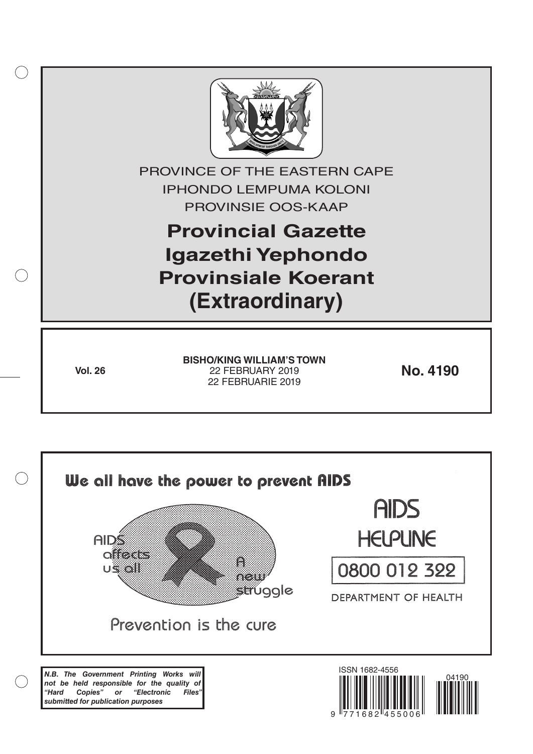

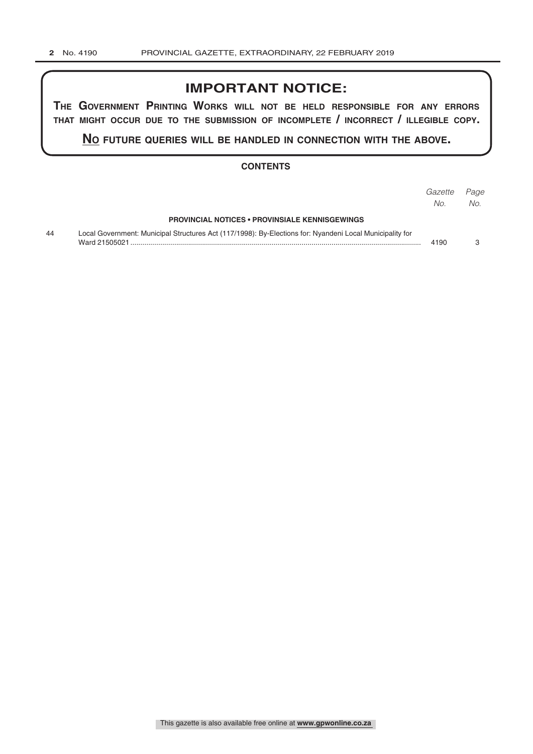# **IMPORTANT NOTICE:**

**The GovernmenT PrinTinG Works Will noT be held resPonsible for any errors ThaT miGhT occur due To The submission of incomPleTe / incorrecT / illeGible coPy.**

**no fuTure queries Will be handled in connecTion WiTh The above.**

## **CONTENTS**

|    |                                                                                                          | Gazette<br>No. | Page<br>No. |
|----|----------------------------------------------------------------------------------------------------------|----------------|-------------|
|    | <b>PROVINCIAL NOTICES • PROVINSIALE KENNISGEWINGS</b>                                                    |                |             |
| 44 | Local Government: Municipal Structures Act (117/1998): By-Elections for: Nyandeni Local Municipality for | 4190           |             |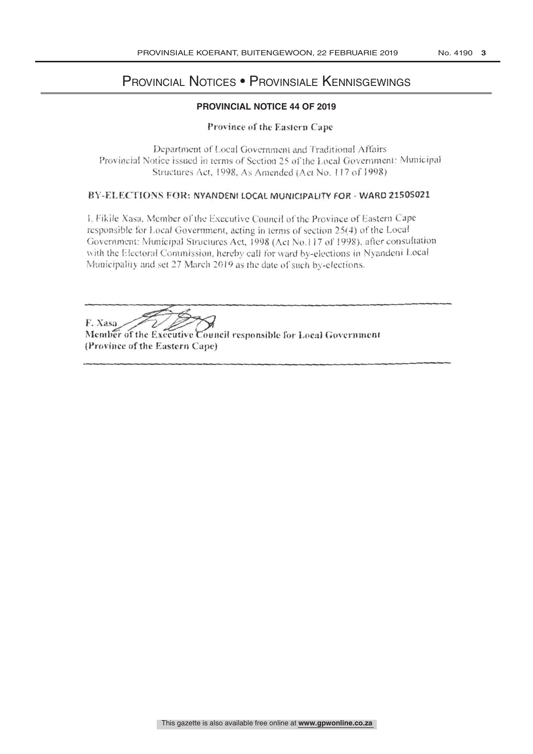## Provincial Notices • Provinsiale Kennisgewings

# PROVINCIAL NOTICE **PROVINCIAL NOTICE 44 OF 2019**

### Province of the Eastern Cape

Department of Local Government and Traditional Affairs

Provincial Notice issued in terms of Section 25 of the Local Government: Municipal<br>Structures Act, 1998, As Amended (Act No. 117 of 1998)<br>BY-ELECTIONS FOR: NYANDENI LOCAL MUNICIPALITY FOR - WARD 21505021<br>I, Fikile Xasa, Me

F. Xasa<br>Member of the Executive Council responsible for Local Government (Province of the Eastern Cape)